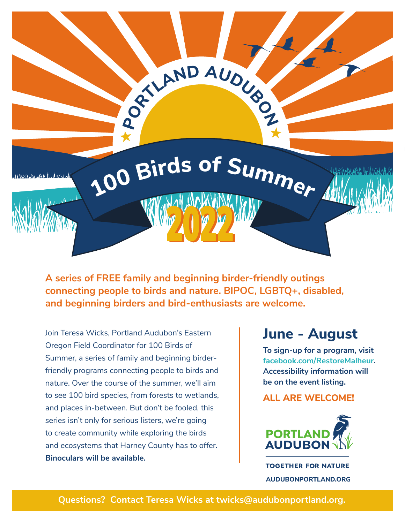

**A series of FREE family and beginning birder-friendly outings connecting people to birds and nature. BIPOC, LGBTQ+, disabled, and beginning birders and bird-enthusiasts are welcome.**

Join Teresa Wicks, Portland Audubon's Eastern Oregon Field Coordinator for 100 Birds of Summer, a series of family and beginning birderfriendly programs connecting people to birds and nature. Over the course of the summer, we'll aim to see 100 bird species, from forests to wetlands, and places in-between. But don't be fooled, this series isn't only for serious listers, we're going to create community while exploring the birds and ecosystems that Harney County has to offer. **Binoculars will be available.**

### **June - August**

**To sign-up for a program, visit facebook.com/RestoreMalheur. Accessibility information will be on the event listing.**

#### **ALL ARE WELCOME!**



**TOGETHER FOR NATURE AUDUBONPORTLAND.ORG**